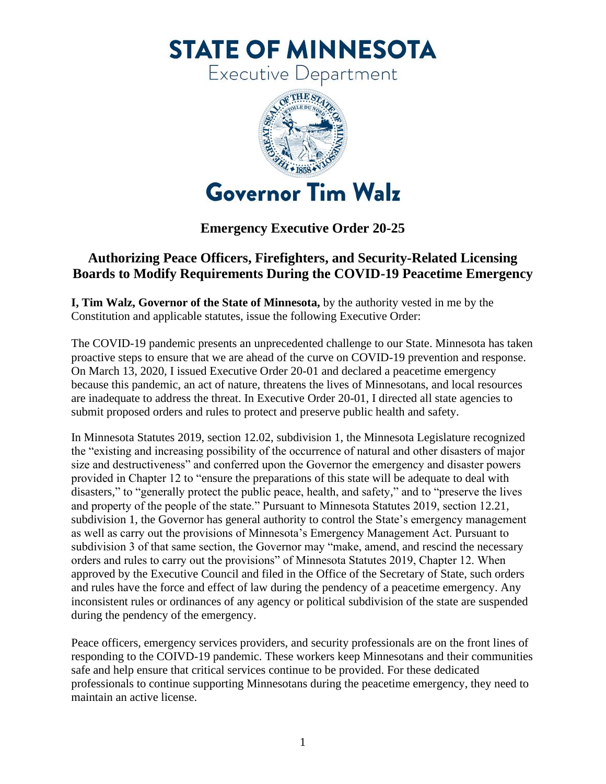**STATE OF MINNESOTA** 

**Executive Department** 



**Emergency Executive Order 20-25**

## **Authorizing Peace Officers, Firefighters, and Security-Related Licensing Boards to Modify Requirements During the COVID-19 Peacetime Emergency**

**I, Tim Walz, Governor of the State of Minnesota,** by the authority vested in me by the Constitution and applicable statutes, issue the following Executive Order:

The COVID-19 pandemic presents an unprecedented challenge to our State. Minnesota has taken proactive steps to ensure that we are ahead of the curve on COVID-19 prevention and response. On March 13, 2020, I issued Executive Order 20-01 and declared a peacetime emergency because this pandemic, an act of nature, threatens the lives of Minnesotans, and local resources are inadequate to address the threat. In Executive Order 20-01, I directed all state agencies to submit proposed orders and rules to protect and preserve public health and safety.

In Minnesota Statutes 2019, section 12.02, subdivision 1, the Minnesota Legislature recognized the "existing and increasing possibility of the occurrence of natural and other disasters of major size and destructiveness" and conferred upon the Governor the emergency and disaster powers provided in Chapter 12 to "ensure the preparations of this state will be adequate to deal with disasters," to "generally protect the public peace, health, and safety," and to "preserve the lives and property of the people of the state." Pursuant to Minnesota Statutes 2019, section 12.21, subdivision 1, the Governor has general authority to control the State's emergency management as well as carry out the provisions of Minnesota's Emergency Management Act. Pursuant to subdivision 3 of that same section, the Governor may "make, amend, and rescind the necessary orders and rules to carry out the provisions" of Minnesota Statutes 2019, Chapter 12. When approved by the Executive Council and filed in the Office of the Secretary of State, such orders and rules have the force and effect of law during the pendency of a peacetime emergency. Any inconsistent rules or ordinances of any agency or political subdivision of the state are suspended during the pendency of the emergency.

Peace officers, emergency services providers, and security professionals are on the front lines of responding to the COIVD-19 pandemic. These workers keep Minnesotans and their communities safe and help ensure that critical services continue to be provided. For these dedicated professionals to continue supporting Minnesotans during the peacetime emergency, they need to maintain an active license.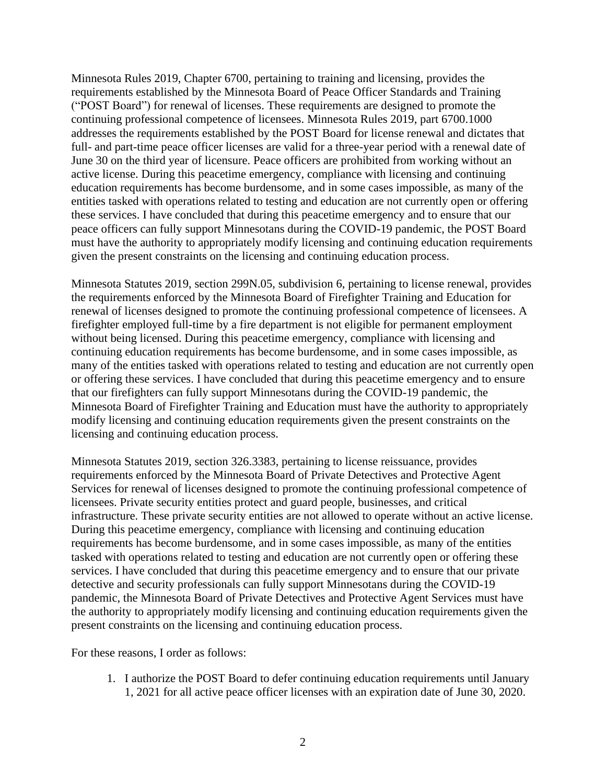Minnesota Rules 2019, Chapter 6700, pertaining to training and licensing, provides the requirements established by the Minnesota Board of Peace Officer Standards and Training ("POST Board") for renewal of licenses. These requirements are designed to promote the continuing professional competence of licensees. Minnesota Rules 2019, part 6700.1000 addresses the requirements established by the POST Board for license renewal and dictates that full- and part-time peace officer licenses are valid for a three-year period with a renewal date of June 30 on the third year of licensure. Peace officers are prohibited from working without an active license. During this peacetime emergency, compliance with licensing and continuing education requirements has become burdensome, and in some cases impossible, as many of the entities tasked with operations related to testing and education are not currently open or offering these services. I have concluded that during this peacetime emergency and to ensure that our peace officers can fully support Minnesotans during the COVID-19 pandemic, the POST Board must have the authority to appropriately modify licensing and continuing education requirements given the present constraints on the licensing and continuing education process.

Minnesota Statutes 2019, section 299N.05, subdivision 6, pertaining to license renewal, provides the requirements enforced by the Minnesota Board of Firefighter Training and Education for renewal of licenses designed to promote the continuing professional competence of licensees. A firefighter employed full-time by a fire department is not eligible for permanent employment without being licensed. During this peacetime emergency, compliance with licensing and continuing education requirements has become burdensome, and in some cases impossible, as many of the entities tasked with operations related to testing and education are not currently open or offering these services. I have concluded that during this peacetime emergency and to ensure that our firefighters can fully support Minnesotans during the COVID-19 pandemic, the Minnesota Board of Firefighter Training and Education must have the authority to appropriately modify licensing and continuing education requirements given the present constraints on the licensing and continuing education process.

Minnesota Statutes 2019, section 326.3383, pertaining to license reissuance, provides requirements enforced by the Minnesota Board of Private Detectives and Protective Agent Services for renewal of licenses designed to promote the continuing professional competence of licensees. Private security entities protect and guard people, businesses, and critical infrastructure. These private security entities are not allowed to operate without an active license. During this peacetime emergency, compliance with licensing and continuing education requirements has become burdensome, and in some cases impossible, as many of the entities tasked with operations related to testing and education are not currently open or offering these services. I have concluded that during this peacetime emergency and to ensure that our private detective and security professionals can fully support Minnesotans during the COVID-19 pandemic, the Minnesota Board of Private Detectives and Protective Agent Services must have the authority to appropriately modify licensing and continuing education requirements given the present constraints on the licensing and continuing education process.

For these reasons, I order as follows:

1. I authorize the POST Board to defer continuing education requirements until January 1, 2021 for all active peace officer licenses with an expiration date of June 30, 2020.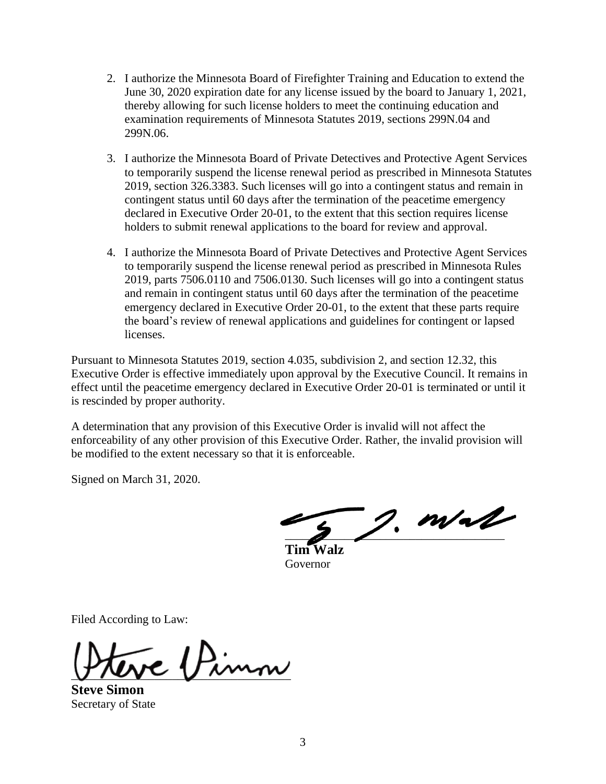- 2. I authorize the Minnesota Board of Firefighter Training and Education to extend the June 30, 2020 expiration date for any license issued by the board to January 1, 2021, thereby allowing for such license holders to meet the continuing education and examination requirements of Minnesota Statutes 2019, sections 299N.04 and 299N.06.
- 3. I authorize the Minnesota Board of Private Detectives and Protective Agent Services to temporarily suspend the license renewal period as prescribed in Minnesota Statutes 2019, section 326.3383. Such licenses will go into a contingent status and remain in contingent status until 60 days after the termination of the peacetime emergency declared in Executive Order 20-01, to the extent that this section requires license holders to submit renewal applications to the board for review and approval.
- 4. I authorize the Minnesota Board of Private Detectives and Protective Agent Services to temporarily suspend the license renewal period as prescribed in Minnesota Rules 2019, parts 7506.0110 and 7506.0130. Such licenses will go into a contingent status and remain in contingent status until 60 days after the termination of the peacetime emergency declared in Executive Order 20-01, to the extent that these parts require the board's review of renewal applications and guidelines for contingent or lapsed licenses.

Pursuant to Minnesota Statutes 2019, section 4.035, subdivision 2, and section 12.32, this Executive Order is effective immediately upon approval by the Executive Council. It remains in effect until the peacetime emergency declared in Executive Order 20-01 is terminated or until it is rescinded by proper authority.

A determination that any provision of this Executive Order is invalid will not affect the enforceability of any other provision of this Executive Order. Rather, the invalid provision will be modified to the extent necessary so that it is enforceable.

Signed on March 31, 2020.

 $2.$  m/al

**Tim Walz**  Governor

Filed According to Law:

 $V$   $V$   $V$  $\sim$ 

**Steve Simon**  Secretary of State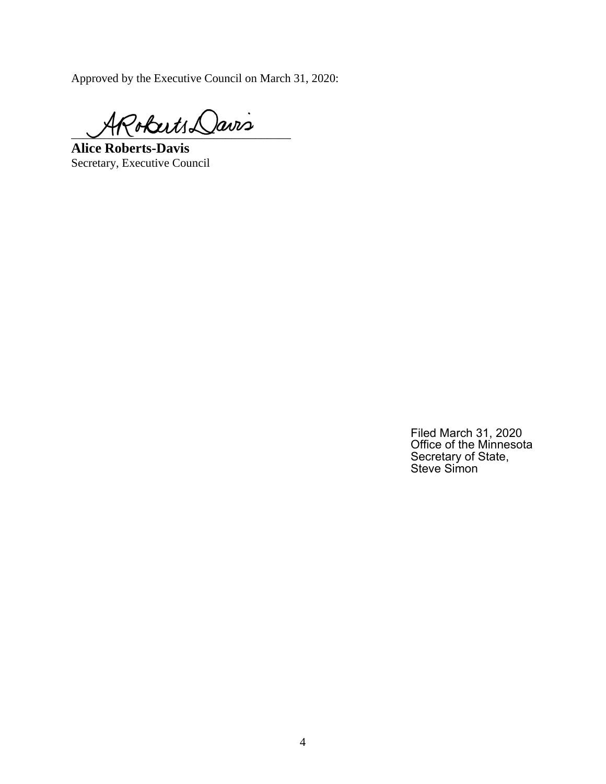Approved by the Executive Council on March 31, 2020:

Poberts Davis

**Alice Roberts-Davis** Secretary, Executive Council

Filed March 31, 2020 Office of the Minnesota Secretary of State, Steve Simon